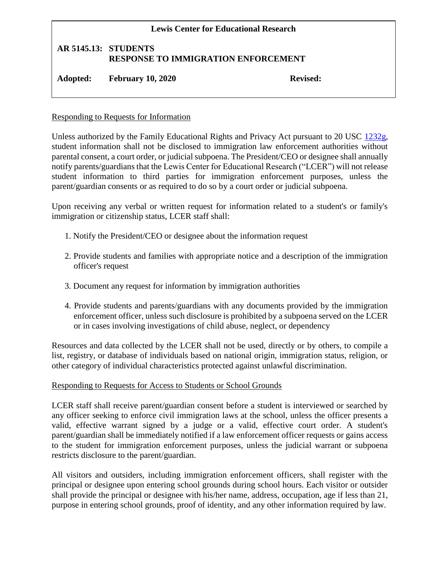## **Lewis Center for Educational Research AR 5145.13: STUDENTS RESPONSE TO IMMIGRATION ENFORCEMENT Adopted: February 10, 2020 Revised:**

## Responding to Requests for Information

Unless authorized by the Family Educational Rights and Privacy Act pursuant to 20 USC [1232g,](http://gamutonline.net/displayPolicy/189959/5) student information shall not be disclosed to immigration law enforcement authorities without parental consent, a court order, or judicial subpoena. The President/CEO or designee shall annually notify parents/guardians that the Lewis Center for Educational Research ("LCER") will not release student information to third parties for immigration enforcement purposes, unless the parent/guardian consents or as required to do so by a court order or judicial subpoena.

Upon receiving any verbal or written request for information related to a student's or family's immigration or citizenship status, LCER staff shall:

- 1. Notify the President/CEO or designee about the information request
- 2. Provide students and families with appropriate notice and a description of the immigration officer's request
- 3. Document any request for information by immigration authorities
- 4. Provide students and parents/guardians with any documents provided by the immigration enforcement officer, unless such disclosure is prohibited by a subpoena served on the LCER or in cases involving investigations of child abuse, neglect, or dependency

Resources and data collected by the LCER shall not be used, directly or by others, to compile a list, registry, or database of individuals based on national origin, immigration status, religion, or other category of individual characteristics protected against unlawful discrimination.

## Responding to Requests for Access to Students or School Grounds

LCER staff shall receive parent/guardian consent before a student is interviewed or searched by any officer seeking to enforce civil immigration laws at the school, unless the officer presents a valid, effective warrant signed by a judge or a valid, effective court order. A student's parent/guardian shall be immediately notified if a law enforcement officer requests or gains access to the student for immigration enforcement purposes, unless the judicial warrant or subpoena restricts disclosure to the parent/guardian.

All visitors and outsiders, including immigration enforcement officers, shall register with the principal or designee upon entering school grounds during school hours. Each visitor or outsider shall provide the principal or designee with his/her name, address, occupation, age if less than 21, purpose in entering school grounds, proof of identity, and any other information required by law.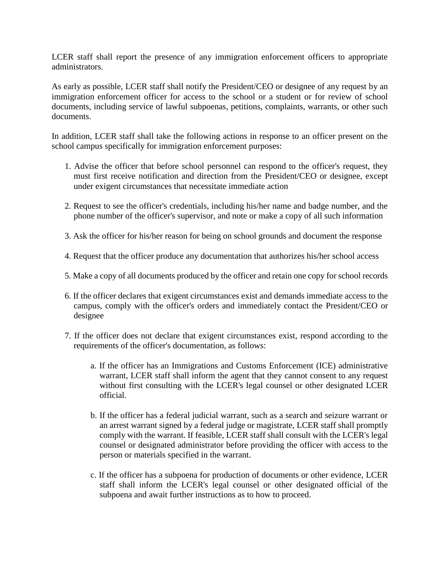LCER staff shall report the presence of any immigration enforcement officers to appropriate administrators.

As early as possible, LCER staff shall notify the President/CEO or designee of any request by an immigration enforcement officer for access to the school or a student or for review of school documents, including service of lawful subpoenas, petitions, complaints, warrants, or other such documents.

In addition, LCER staff shall take the following actions in response to an officer present on the school campus specifically for immigration enforcement purposes:

- 1. Advise the officer that before school personnel can respond to the officer's request, they must first receive notification and direction from the President/CEO or designee, except under exigent circumstances that necessitate immediate action
- 2. Request to see the officer's credentials, including his/her name and badge number, and the phone number of the officer's supervisor, and note or make a copy of all such information
- 3. Ask the officer for his/her reason for being on school grounds and document the response
- 4. Request that the officer produce any documentation that authorizes his/her school access
- 5. Make a copy of all documents produced by the officer and retain one copy for school records
- 6. If the officer declares that exigent circumstances exist and demands immediate access to the campus, comply with the officer's orders and immediately contact the President/CEO or designee
- 7. If the officer does not declare that exigent circumstances exist, respond according to the requirements of the officer's documentation, as follows:
	- a. If the officer has an Immigrations and Customs Enforcement (ICE) administrative warrant, LCER staff shall inform the agent that they cannot consent to any request without first consulting with the LCER's legal counsel or other designated LCER official.
	- b. If the officer has a federal judicial warrant, such as a search and seizure warrant or an arrest warrant signed by a federal judge or magistrate, LCER staff shall promptly comply with the warrant. If feasible, LCER staff shall consult with the LCER's legal counsel or designated administrator before providing the officer with access to the person or materials specified in the warrant.
	- c. If the officer has a subpoena for production of documents or other evidence, LCER staff shall inform the LCER's legal counsel or other designated official of the subpoena and await further instructions as to how to proceed.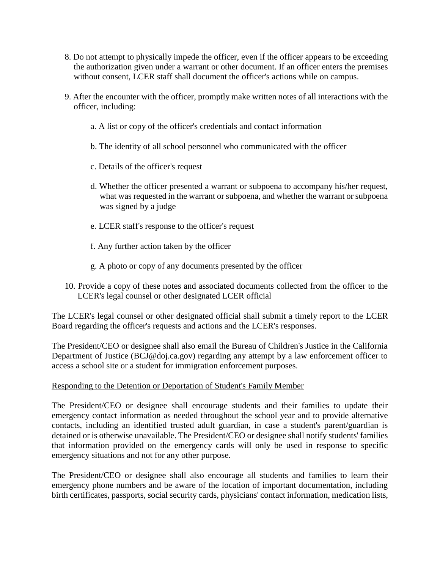- 8. Do not attempt to physically impede the officer, even if the officer appears to be exceeding the authorization given under a warrant or other document. If an officer enters the premises without consent, LCER staff shall document the officer's actions while on campus.
- 9. After the encounter with the officer, promptly make written notes of all interactions with the officer, including:
	- a. A list or copy of the officer's credentials and contact information
	- b. The identity of all school personnel who communicated with the officer
	- c. Details of the officer's request
	- d. Whether the officer presented a warrant or subpoena to accompany his/her request, what was requested in the warrant or subpoena, and whether the warrant or subpoena was signed by a judge
	- e. LCER staff's response to the officer's request
	- f. Any further action taken by the officer
	- g. A photo or copy of any documents presented by the officer
- 10. Provide a copy of these notes and associated documents collected from the officer to the LCER's legal counsel or other designated LCER official

The LCER's legal counsel or other designated official shall submit a timely report to the LCER Board regarding the officer's requests and actions and the LCER's responses.

The President/CEO or designee shall also email the Bureau of Children's Justice in the California Department of Justice (BCJ@doj.ca.gov) regarding any attempt by a law enforcement officer to access a school site or a student for immigration enforcement purposes.

## Responding to the Detention or Deportation of Student's Family Member

The President/CEO or designee shall encourage students and their families to update their emergency contact information as needed throughout the school year and to provide alternative contacts, including an identified trusted adult guardian, in case a student's parent/guardian is detained or is otherwise unavailable. The President/CEO or designee shall notify students' families that information provided on the emergency cards will only be used in response to specific emergency situations and not for any other purpose.

The President/CEO or designee shall also encourage all students and families to learn their emergency phone numbers and be aware of the location of important documentation, including birth certificates, passports, social security cards, physicians' contact information, medication lists,